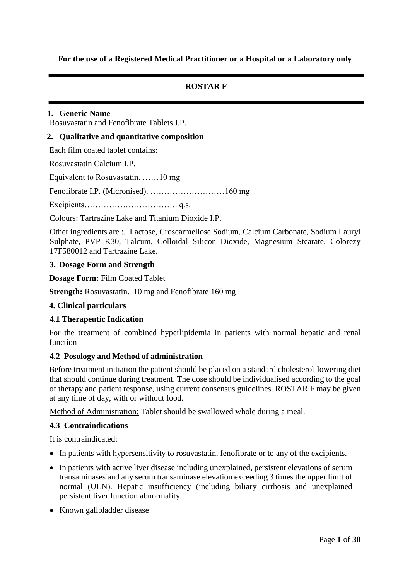**For the use of a Registered Medical Practitioner or a Hospital or a Laboratory only** 

# **ROSTAR F**

# **1. Generic Name**

Rosuvastatin and Fenofibrate Tablets I.P.

### **2. Qualitative and quantitative composition**

Each film coated tablet contains:

Rosuvastatin Calcium I.P.

Equivalent to Rosuvastatin. ……10 mg

Fenofibrate I.P. (Micronised). ………………………160 mg

Excipients……………………………. q.s.

Colours: Tartrazine Lake and Titanium Dioxide I.P.

Other ingredients are :. Lactose, Croscarmellose Sodium, Calcium Carbonate, Sodium Lauryl Sulphate, PVP K30, Talcum, Colloidal Silicon Dioxide, Magnesium Stearate, Colorezy 17F580012 and Tartrazine Lake.

### **3. Dosage Form and Strength**

**Dosage Form:** Film Coated Tablet

**Strength:** Rosuvastatin. 10 mg and Fenofibrate 160 mg

### **4. Clinical particulars**

### **4.1 Therapeutic Indication**

For the treatment of combined hyperlipidemia in patients with normal hepatic and renal function

### **4.2 Posology and Method of administration**

Before treatment initiation the patient should be placed on a standard cholesterol-lowering diet that should continue during treatment. The dose should be individualised according to the goal of therapy and patient response, using current consensus guidelines. ROSTAR F may be given at any time of day, with or without food.

Method of Administration: Tablet should be swallowed whole during a meal.

### **4.3 Contraindications**

It is contraindicated:

- In patients with hypersensitivity to rosuvastatin, fenofibrate or to any of the excipients.
- In patients with active liver disease including unexplained, persistent elevations of serum transaminases and any serum transaminase elevation exceeding 3 times the upper limit of normal (ULN). Hepatic insufficiency (including biliary cirrhosis and unexplained persistent liver function abnormality.
- Known gallbladder disease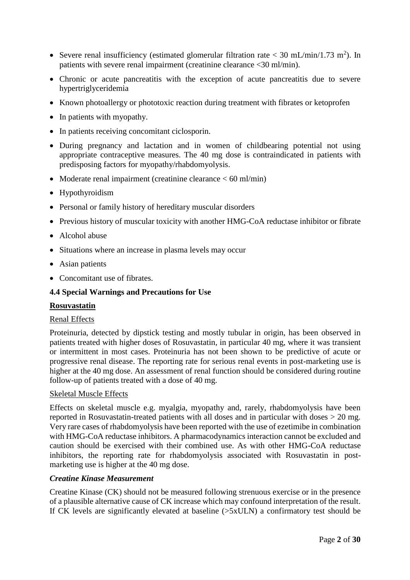- Severe renal insufficiency (estimated glomerular filtration rate  $<$  30 mL/min/1.73 m<sup>2</sup>). In patients with severe renal impairment (creatinine clearance <30 ml/min).
- Chronic or acute pancreatitis with the exception of acute pancreatitis due to severe hypertriglyceridemia
- Known photoallergy or phototoxic reaction during treatment with fibrates or ketoprofen
- In patients with myopathy.
- In patients receiving concomitant ciclosporin.
- During pregnancy and lactation and in women of childbearing potential not using appropriate contraceptive measures. The 40 mg dose is contraindicated in patients with predisposing factors for myopathy/rhabdomyolysis.
- Moderate renal impairment (creatinine clearance  $< 60$  ml/min)
- Hypothyroidism
- Personal or family history of hereditary muscular disorders
- Previous history of muscular toxicity with another HMG-CoA reductase inhibitor or fibrate
- Alcohol abuse
- Situations where an increase in plasma levels may occur
- Asian patients
- Concomitant use of fibrates.

### **4.4 Special Warnings and Precautions for Use**

### **Rosuvastatin**

### Renal Effects

Proteinuria, detected by dipstick testing and mostly tubular in origin, has been observed in patients treated with higher doses of Rosuvastatin, in particular 40 mg, where it was transient or intermittent in most cases. Proteinuria has not been shown to be predictive of acute or progressive renal disease. The reporting rate for serious renal events in post-marketing use is higher at the 40 mg dose. An assessment of renal function should be considered during routine follow-up of patients treated with a dose of 40 mg.

### Skeletal Muscle Effects

Effects on skeletal muscle e.g. myalgia, myopathy and, rarely, rhabdomyolysis have been reported in Rosuvastatin-treated patients with all doses and in particular with doses > 20 mg. Very rare cases of rhabdomyolysis have been reported with the use of ezetimibe in combination with HMG-CoA reductase inhibitors. A pharmacodynamics interaction cannot be excluded and caution should be exercised with their combined use. As with other HMG-CoA reductase inhibitors, the reporting rate for rhabdomyolysis associated with Rosuvastatin in postmarketing use is higher at the 40 mg dose.

### *Creatine Kinase Measurement*

Creatine Kinase (CK) should not be measured following strenuous exercise or in the presence of a plausible alternative cause of CK increase which may confound interpretation of the result. If CK levels are significantly elevated at baseline (>5xULN) a confirmatory test should be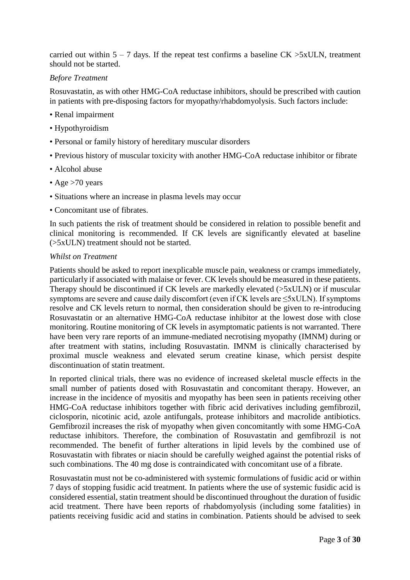carried out within  $5 - 7$  days. If the repeat test confirms a baseline CK  $>5xULN$ , treatment should not be started.

# *Before Treatment*

Rosuvastatin, as with other HMG-CoA reductase inhibitors, should be prescribed with caution in patients with pre-disposing factors for myopathy/rhabdomyolysis. Such factors include:

- Renal impairment
- Hypothyroidism
- Personal or family history of hereditary muscular disorders
- Previous history of muscular toxicity with another HMG-CoA reductase inhibitor or fibrate
- Alcohol abuse
- Age >70 years
- Situations where an increase in plasma levels may occur
- Concomitant use of fibrates.

In such patients the risk of treatment should be considered in relation to possible benefit and clinical monitoring is recommended. If CK levels are significantly elevated at baseline (>5xULN) treatment should not be started.

### *Whilst on Treatment*

Patients should be asked to report inexplicable muscle pain, weakness or cramps immediately, particularly if associated with malaise or fever. CK levels should be measured in these patients. Therapy should be discontinued if CK levels are markedly elevated (>5xULN) or if muscular symptoms are severe and cause daily discomfort (even if CK levels are ≤5xULN). If symptoms resolve and CK levels return to normal, then consideration should be given to re-introducing Rosuvastatin or an alternative HMG-CoA reductase inhibitor at the lowest dose with close monitoring. Routine monitoring of CK levels in asymptomatic patients is not warranted. There have been very rare reports of an immune-mediated necrotising myopathy (IMNM) during or after treatment with statins, including Rosuvastatin. IMNM is clinically characterised by proximal muscle weakness and elevated serum creatine kinase, which persist despite discontinuation of statin treatment.

In reported clinical trials, there was no evidence of increased skeletal muscle effects in the small number of patients dosed with Rosuvastatin and concomitant therapy. However, an increase in the incidence of myositis and myopathy has been seen in patients receiving other HMG-CoA reductase inhibitors together with fibric acid derivatives including gemfibrozil, ciclosporin, nicotinic acid, azole antifungals, protease inhibitors and macrolide antibiotics. Gemfibrozil increases the risk of myopathy when given concomitantly with some HMG-CoA reductase inhibitors. Therefore, the combination of Rosuvastatin and gemfibrozil is not recommended. The benefit of further alterations in lipid levels by the combined use of Rosuvastatin with fibrates or niacin should be carefully weighed against the potential risks of such combinations. The 40 mg dose is contraindicated with concomitant use of a fibrate.

Rosuvastatin must not be co-administered with systemic formulations of fusidic acid or within 7 days of stopping fusidic acid treatment. In patients where the use of systemic fusidic acid is considered essential, statin treatment should be discontinued throughout the duration of fusidic acid treatment. There have been reports of rhabdomyolysis (including some fatalities) in patients receiving fusidic acid and statins in combination. Patients should be advised to seek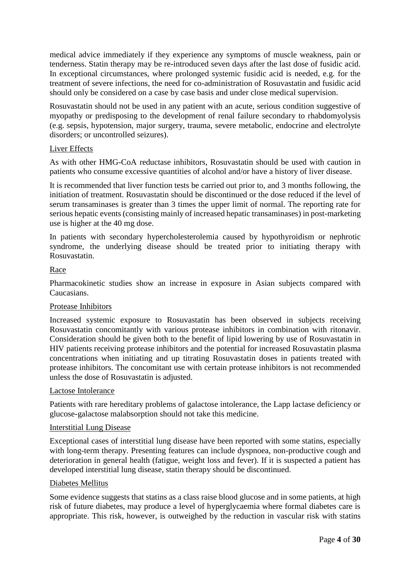medical advice immediately if they experience any symptoms of muscle weakness, pain or tenderness. Statin therapy may be re-introduced seven days after the last dose of fusidic acid. In exceptional circumstances, where prolonged systemic fusidic acid is needed, e.g. for the treatment of severe infections, the need for co-administration of Rosuvastatin and fusidic acid should only be considered on a case by case basis and under close medical supervision.

Rosuvastatin should not be used in any patient with an acute, serious condition suggestive of myopathy or predisposing to the development of renal failure secondary to rhabdomyolysis (e.g. sepsis, hypotension, major surgery, trauma, severe metabolic, endocrine and electrolyte disorders; or uncontrolled seizures).

# Liver Effects

As with other HMG-CoA reductase inhibitors, Rosuvastatin should be used with caution in patients who consume excessive quantities of alcohol and/or have a history of liver disease.

It is recommended that liver function tests be carried out prior to, and 3 months following, the initiation of treatment. Rosuvastatin should be discontinued or the dose reduced if the level of serum transaminases is greater than 3 times the upper limit of normal. The reporting rate for serious hepatic events (consisting mainly of increased hepatic transaminases) in post-marketing use is higher at the 40 mg dose.

In patients with secondary hypercholesterolemia caused by hypothyroidism or nephrotic syndrome, the underlying disease should be treated prior to initiating therapy with Rosuvastatin.

# Race

Pharmacokinetic studies show an increase in exposure in Asian subjects compared with Caucasians.

### Protease Inhibitors

Increased systemic exposure to Rosuvastatin has been observed in subjects receiving Rosuvastatin concomitantly with various protease inhibitors in combination with ritonavir. Consideration should be given both to the benefit of lipid lowering by use of Rosuvastatin in HIV patients receiving protease inhibitors and the potential for increased Rosuvastatin plasma concentrations when initiating and up titrating Rosuvastatin doses in patients treated with protease inhibitors. The concomitant use with certain protease inhibitors is not recommended unless the dose of Rosuvastatin is adjusted.

### Lactose Intolerance

Patients with rare hereditary problems of galactose intolerance, the Lapp lactase deficiency or glucose-galactose malabsorption should not take this medicine.

### Interstitial Lung Disease

Exceptional cases of interstitial lung disease have been reported with some statins, especially with long-term therapy. Presenting features can include dyspnoea, non-productive cough and deterioration in general health (fatigue, weight loss and fever). If it is suspected a patient has developed interstitial lung disease, statin therapy should be discontinued.

### Diabetes Mellitus

Some evidence suggests that statins as a class raise blood glucose and in some patients, at high risk of future diabetes, may produce a level of hyperglycaemia where formal diabetes care is appropriate. This risk, however, is outweighed by the reduction in vascular risk with statins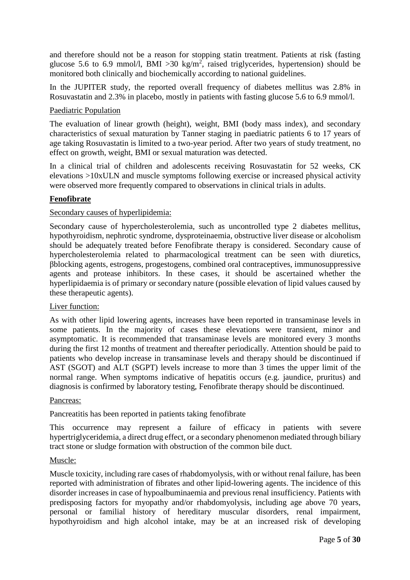and therefore should not be a reason for stopping statin treatment. Patients at risk (fasting glucose 5.6 to 6.9 mmol/l, BMI > 30 kg/m<sup>2</sup>, raised triglycerides, hypertension) should be monitored both clinically and biochemically according to national guidelines.

In the JUPITER study, the reported overall frequency of diabetes mellitus was 2.8% in Rosuvastatin and 2.3% in placebo, mostly in patients with fasting glucose 5.6 to 6.9 mmol/l.

# Paediatric Population

The evaluation of linear growth (height), weight, BMI (body mass index), and secondary characteristics of sexual maturation by Tanner staging in paediatric patients 6 to 17 years of age taking Rosuvastatin is limited to a two-year period. After two years of study treatment, no effect on growth, weight, BMI or sexual maturation was detected.

In a clinical trial of children and adolescents receiving Rosuvastatin for 52 weeks, CK elevations >10xULN and muscle symptoms following exercise or increased physical activity were observed more frequently compared to observations in clinical trials in adults.

# **Fenofibrate**

# Secondary causes of hyperlipidemia:

Secondary cause of hypercholesterolemia, such as uncontrolled type 2 diabetes mellitus, hypothyroidism, nephrotic syndrome, dysproteinaemia, obstructive liver disease or alcoholism should be adequately treated before Fenofibrate therapy is considered. Secondary cause of hypercholesterolemia related to pharmacological treatment can be seen with diuretics, βblocking agents, estrogens, progestogens, combined oral contraceptives, immunosuppressive agents and protease inhibitors. In these cases, it should be ascertained whether the hyperlipidaemia is of primary or secondary nature (possible elevation of lipid values caused by these therapeutic agents).

### Liver function:

As with other lipid lowering agents, increases have been reported in transaminase levels in some patients. In the majority of cases these elevations were transient, minor and asymptomatic. It is recommended that transaminase levels are monitored every 3 months during the first 12 months of treatment and thereafter periodically. Attention should be paid to patients who develop increase in transaminase levels and therapy should be discontinued if AST (SGOT) and ALT (SGPT) levels increase to more than 3 times the upper limit of the normal range. When symptoms indicative of hepatitis occurs (e.g. jaundice, pruritus) and diagnosis is confirmed by laboratory testing, Fenofibrate therapy should be discontinued.

### Pancreas:

Pancreatitis has been reported in patients taking fenofibrate

This occurrence may represent a failure of efficacy in patients with severe hypertriglyceridemia, a direct drug effect, or a secondary phenomenon mediated through biliary tract stone or sludge formation with obstruction of the common bile duct.

### Muscle:

Muscle toxicity, including rare cases of rhabdomyolysis, with or without renal failure*,* has been reported with administration of fibrates and other lipid-lowering agents. The incidence of this disorder increases in case of hypoalbuminaemia and previous renal insufficiency. Patients with predisposing factors for myopathy and/or rhabdomyolysis, including age above 70 years, personal or familial history of hereditary muscular disorders, renal impairment, hypothyroidism and high alcohol intake, may be at an increased risk of developing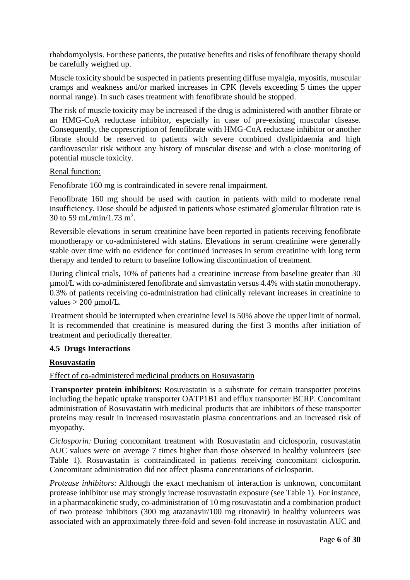rhabdomyolysis. For these patients, the putative benefits and risks of fenofibrate therapy should be carefully weighed up.

Muscle toxicity should be suspected in patients presenting diffuse myalgia, myositis, muscular cramps and weakness and/or marked increases in CPK (levels exceeding 5 times the upper normal range). In such cases treatment with fenofibrate should be stopped.

The risk of muscle toxicity may be increased if the drug is administered with another fibrate or an HMG-CoA reductase inhibitor, especially in case of pre-existing muscular disease. Consequently, the coprescription of fenofibrate with HMG-CoA reductase inhibitor or another fibrate should be reserved to patients with severe combined dyslipidaemia and high cardiovascular risk without any history of muscular disease and with a close monitoring of potential muscle toxicity.

### Renal function:

Fenofibrate 160 mg is contraindicated in severe renal impairment.

Fenofibrate 160 mg should be used with caution in patients with mild to moderate renal insufficiency. Dose should be adjusted in patients whose estimated glomerular filtration rate is 30 to 59 mL/min/1.73 m<sup>2</sup>.

Reversible elevations in serum creatinine have been reported in patients receiving fenofibrate monotherapy or co-administered with statins. Elevations in serum creatinine were generally stable over time with no evidence for continued increases in serum creatinine with long term therapy and tended to return to baseline following discontinuation of treatment.

During clinical trials, 10% of patients had a creatinine increase from baseline greater than 30 µmol/L with co-administered fenofibrate and simvastatin versus 4.4% with statin monotherapy. 0.3% of patients receiving co-administration had clinically relevant increases in creatinine to values  $> 200 \mu$  mol/L.

Treatment should be interrupted when creatinine level is 50% above the upper limit of normal. It is recommended that creatinine is measured during the first 3 months after initiation of treatment and periodically thereafter.

### **4.5 Drugs Interactions**

### **Rosuvastatin**

Effect of co-administered medicinal products on Rosuvastatin

**Transporter protein inhibitors:** Rosuvastatin is a substrate for certain transporter proteins including the hepatic uptake transporter OATP1B1 and efflux transporter BCRP. Concomitant administration of Rosuvastatin with medicinal products that are inhibitors of these transporter proteins may result in increased rosuvastatin plasma concentrations and an increased risk of myopathy.

*Ciclosporin:* During concomitant treatment with Rosuvastatin and ciclosporin, rosuvastatin AUC values were on average 7 times higher than those observed in healthy volunteers (see Table 1). Rosuvastatin is contraindicated in patients receiving concomitant ciclosporin. Concomitant administration did not affect plasma concentrations of ciclosporin.

*Protease inhibitors:* Although the exact mechanism of interaction is unknown, concomitant protease inhibitor use may strongly increase rosuvastatin exposure (see Table 1). For instance, in a pharmacokinetic study, co-administration of 10 mg rosuvastatin and a combination product of two protease inhibitors (300 mg atazanavir/100 mg ritonavir) in healthy volunteers was associated with an approximately three-fold and seven-fold increase in rosuvastatin AUC and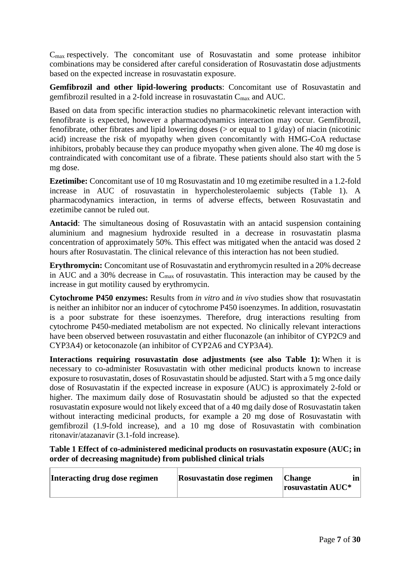$C<sub>max</sub>$  respectively. The concomitant use of Rosuvastatin and some protease inhibitor combinations may be considered after careful consideration of Rosuvastatin dose adjustments based on the expected increase in rosuvastatin exposure.

**Gemfibrozil and other lipid-lowering products**: Concomitant use of Rosuvastatin and gemfibrozil resulted in a 2-fold increase in rosuvastatin  $C_{\text{max}}$  and AUC.

Based on data from specific interaction studies no pharmacokinetic relevant interaction with fenofibrate is expected, however a pharmacodynamics interaction may occur. Gemfibrozil, fenofibrate, other fibrates and lipid lowering doses ( $>$  or equal to 1 g/day) of niacin (nicotinic acid) increase the risk of myopathy when given concomitantly with HMG-CoA reductase inhibitors, probably because they can produce myopathy when given alone. The 40 mg dose is contraindicated with concomitant use of a fibrate. These patients should also start with the 5 mg dose.

**Ezetimibe:** Concomitant use of 10 mg Rosuvastatin and 10 mg ezetimibe resulted in a 1.2-fold increase in AUC of rosuvastatin in hypercholesterolaemic subjects (Table 1). A pharmacodynamics interaction, in terms of adverse effects, between Rosuvastatin and ezetimibe cannot be ruled out.

**Antacid**: The simultaneous dosing of Rosuvastatin with an antacid suspension containing aluminium and magnesium hydroxide resulted in a decrease in rosuvastatin plasma concentration of approximately 50%. This effect was mitigated when the antacid was dosed 2 hours after Rosuvastatin. The clinical relevance of this interaction has not been studied.

**Erythromycin:** Concomitant use of Rosuvastatin and erythromycin resulted in a 20% decrease in AUC and a 30% decrease in  $C_{\text{max}}$  of rosuvastatin. This interaction may be caused by the increase in gut motility caused by erythromycin.

**Cytochrome P450 enzymes:** Results from *in vitro* and *in vivo* studies show that rosuvastatin is neither an inhibitor nor an inducer of cytochrome P450 isoenzymes. In addition, rosuvastatin is a poor substrate for these isoenzymes. Therefore, drug interactions resulting from cytochrome P450-mediated metabolism are not expected. No clinically relevant interactions have been observed between rosuvastatin and either fluconazole (an inhibitor of CYP2C9 and CYP3A4) or ketoconazole (an inhibitor of CYP2A6 and CYP3A4).

**Interactions requiring rosuvastatin dose adjustments (see also Table 1):** When it is necessary to co-administer Rosuvastatin with other medicinal products known to increase exposure to rosuvastatin, doses of Rosuvastatin should be adjusted. Start with a 5 mg once daily dose of Rosuvastatin if the expected increase in exposure (AUC) is approximately 2-fold or higher. The maximum daily dose of Rosuvastatin should be adjusted so that the expected rosuvastatin exposure would not likely exceed that of a 40 mg daily dose of Rosuvastatin taken without interacting medicinal products, for example a 20 mg dose of Rosuvastatin with gemfibrozil (1.9-fold increase), and a 10 mg dose of Rosuvastatin with combination ritonavir/atazanavir (3.1-fold increase).

**Table 1 Effect of co-administered medicinal products on rosuvastatin exposure (AUC; in order of decreasing magnitude) from published clinical trials**

| Interacting drug dose regimen | <b>Rosuvastatin dose regimen</b> | <b>Change</b><br>$\Gamma$ rosuvastatin AUC* |
|-------------------------------|----------------------------------|---------------------------------------------|
|-------------------------------|----------------------------------|---------------------------------------------|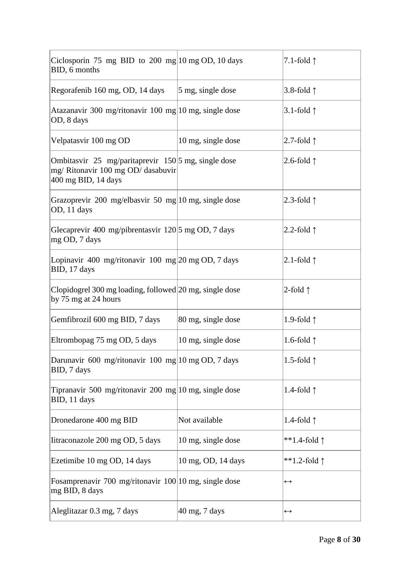| Ciclosporin 75 mg BID to 200 mg $10 \text{ mg}$ OD, 10 days<br>BID, 6 months                                     |                          | 7.1-fold $\uparrow$   |
|------------------------------------------------------------------------------------------------------------------|--------------------------|-----------------------|
| Regorafenib 160 mg, OD, 14 days                                                                                  | 5 mg, single dose        | 3.8-fold $\uparrow$   |
| Atazanavir 300 mg/ritonavir 100 mg 10 mg, single dose<br>OD, 8 days                                              |                          | 3.1-fold $\uparrow$   |
| Velpatasvir 100 mg OD                                                                                            | 10 mg, single dose       | 2.7-fold $\uparrow$   |
| Ombitasvir 25 mg/paritaprevir 150 5 mg, single dose<br>mg/ Ritonavir 100 mg OD/ dasabuvir<br>400 mg BID, 14 days |                          | 2.6-fold $\uparrow$   |
| Grazoprevir 200 mg/elbasvir 50 mg 10 mg, single dose<br>OD, 11 days                                              |                          | 2.3-fold $\uparrow$   |
| Glecaprevir 400 mg/pibrentasvir 120 5 mg OD, 7 days<br>mg OD, 7 days                                             |                          | 2.2-fold $\uparrow$   |
| Lopinavir 400 mg/ritonavir 100 mg $ 20 \text{ mg OD}, 7 \text{ days} $<br>BID, 17 days                           |                          | 2.1-fold $\uparrow$   |
| Clopidogrel 300 mg loading, followed 20 mg, single dose<br>by 75 mg at 24 hours                                  |                          | 2-fold $\uparrow$     |
| Gemfibrozil 600 mg BID, 7 days                                                                                   | 80 mg, single dose       | 1.9-fold $\uparrow$   |
| Eltrombopag 75 mg OD, 5 days                                                                                     | 10 mg, single dose       | 1.6-fold $\uparrow$   |
| Darunavir 600 mg/ritonavir 100 mg 10 mg OD, 7 days<br>BID, 7 days                                                |                          | 1.5-fold $\uparrow$   |
| Tipranavir 500 mg/ritonavir 200 mg 10 mg, single dose<br>BID, 11 days                                            |                          | 1.4-fold $\uparrow$   |
| Dronedarone 400 mg BID                                                                                           | Not available            | 1.4-fold $\uparrow$   |
| Iitraconazole 200 mg OD, 5 days                                                                                  | 10 mg, single dose       | **1.4-fold $\uparrow$ |
| Ezetimibe 10 mg OD, 14 days                                                                                      | 10 mg, OD, 14 days       | **1.2-fold $\uparrow$ |
| Fosamprenavir 700 mg/ritonavir 100 10 mg, single dose<br>mg BID, 8 days                                          |                          | $\leftrightarrow$     |
| Aleglitazar 0.3 mg, 7 days                                                                                       | $40 \text{ mg}$ , 7 days | $\leftrightarrow$     |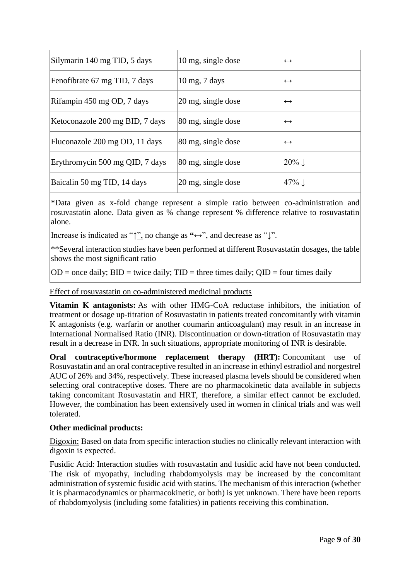| Silymarin 140 mg TID, 5 days    | 10 mg, single dose                 | $\leftrightarrow$  |
|---------------------------------|------------------------------------|--------------------|
| Fenofibrate 67 mg TID, 7 days   | $10 \text{ mg}$ , $7 \text{ days}$ | $\leftrightarrow$  |
| Rifampin 450 mg OD, 7 days      | $20 \text{ mg}$ , single dose      | $\leftrightarrow$  |
| Ketoconazole 200 mg BID, 7 days | 80 mg, single dose                 | $\leftrightarrow$  |
| Fluconazole 200 mg OD, 11 days  | 80 mg, single dose                 | $\leftrightarrow$  |
| Erythromycin 500 mg QID, 7 days | 80 mg, single dose                 | $20\%$             |
| Baicalin 50 mg TID, 14 days     | 20 mg, single dose                 | $ 47\% \downarrow$ |

\*Data given as x-fold change represent a simple ratio between co-administration and rosuvastatin alone. Data given as % change represent % difference relative to rosuvastatin alone.

Increase is indicated as "↑", no change as **"**↔", and decrease as "↓".

\*\*Several interaction studies have been performed at different Rosuvastatin dosages, the table shows the most significant ratio

 $OD =$  once daily;  $BID =$  twice daily;  $TID =$  three times daily;  $QID =$  four times daily

Effect of rosuvastatin on co-administered medicinal products

**Vitamin K antagonists:** As with other HMG-CoA reductase inhibitors, the initiation of treatment or dosage up-titration of Rosuvastatin in patients treated concomitantly with vitamin K antagonists (e.g. warfarin or another coumarin anticoagulant) may result in an increase in International Normalised Ratio (INR). Discontinuation or down-titration of Rosuvastatin may result in a decrease in INR. In such situations, appropriate monitoring of INR is desirable.

**Oral contraceptive/hormone replacement therapy (HRT):** Concomitant use of Rosuvastatin and an oral contraceptive resulted in an increase in ethinyl estradiol and norgestrel AUC of 26% and 34%, respectively. These increased plasma levels should be considered when selecting oral contraceptive doses. There are no pharmacokinetic data available in subjects taking concomitant Rosuvastatin and HRT, therefore, a similar effect cannot be excluded. However, the combination has been extensively used in women in clinical trials and was well tolerated.

# **Other medicinal products:**

Digoxin: Based on data from specific interaction studies no clinically relevant interaction with digoxin is expected.

Fusidic Acid: Interaction studies with rosuvastatin and fusidic acid have not been conducted. The risk of myopathy, including rhabdomyolysis may be increased by the concomitant administration of systemic fusidic acid with statins. The mechanism of this interaction (whether it is pharmacodynamics or pharmacokinetic, or both) is yet unknown. There have been reports of rhabdomyolysis (including some fatalities) in patients receiving this combination.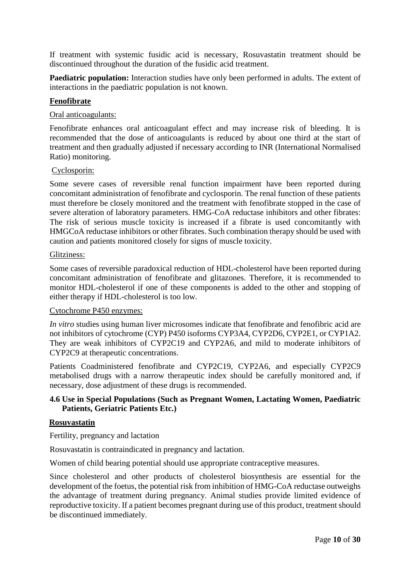If treatment with systemic fusidic acid is necessary, Rosuvastatin treatment should be discontinued throughout the duration of the fusidic acid treatment.

**Paediatric population:** Interaction studies have only been performed in adults. The extent of interactions in the paediatric population is not known.

### **Fenofibrate**

### Oral anticoagulants:

Fenofibrate enhances oral anticoagulant effect and may increase risk of bleeding. It is recommended that the dose of anticoagulants is reduced by about one third at the start of treatment and then gradually adjusted if necessary according to INR (International Normalised Ratio) monitoring.

### Cyclosporin:

Some severe cases of reversible renal function impairment have been reported during concomitant administration of fenofibrate and cyclosporin. The renal function of these patients must therefore be closely monitored and the treatment with fenofibrate stopped in the case of severe alteration of laboratory parameters. HMG-CoA reductase inhibitors and other fibrates: The risk of serious muscle toxicity is increased if a fibrate is used concomitantly with HMGCoA reductase inhibitors or other fibrates. Such combination therapy should be used with caution and patients monitored closely for signs of muscle toxicity.

### Glitziness:

Some cases of reversible paradoxical reduction of HDL-cholesterol have been reported during concomitant administration of fenofibrate and glitazones. Therefore, it is recommended to monitor HDL-cholesterol if one of these components is added to the other and stopping of either therapy if HDL-cholesterol is too low.

### Cytochrome P450 enzymes:

*In vitro* studies using human liver microsomes indicate that fenofibrate and fenofibric acid are not inhibitors of cytochrome (CYP) P450 isoforms CYP3A4, CYP2D6, CYP2E1, or CYP1A2. They are weak inhibitors of CYP2C19 and CYP2A6, and mild to moderate inhibitors of CYP2C9 at therapeutic concentrations.

Patients Coadministered fenofibrate and CYP2C19, CYP2A6, and especially CYP2C9 metabolised drugs with a narrow therapeutic index should be carefully monitored and, if necessary, dose adjustment of these drugs is recommended.

# **4.6 Use in Special Populations (Such as Pregnant Women, Lactating Women, Paediatric Patients, Geriatric Patients Etc.)**

### **Rosuvastatin**

Fertility, pregnancy and lactation

Rosuvastatin is contraindicated in pregnancy and lactation.

Women of child bearing potential should use appropriate contraceptive measures.

Since cholesterol and other products of cholesterol biosynthesis are essential for the development of the foetus, the potential risk from inhibition of HMG-CoA reductase outweighs the advantage of treatment during pregnancy. Animal studies provide limited evidence of reproductive toxicity. If a patient becomes pregnant during use of this product, treatment should be discontinued immediately.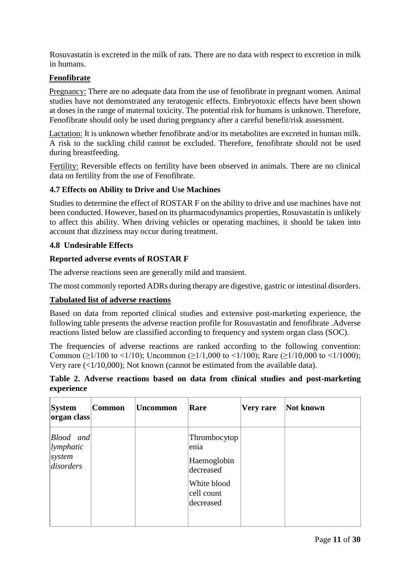Rosuvastatin is excreted in the milk of rats. There are no data with respect to excretion in milk in humans.

# **Fenofibrate**

Pregnancy: There are no adequate data from the use of fenofibrate in pregnant women. Animal studies have not demonstrated any teratogenic effects. Embryotoxic effects have been shown at doses in the range of maternal toxicity. The potential risk for humans is unknown. Therefore, Fenofibrate should only be used during pregnancy after a careful benefit/risk assessment.

Lactation: It is unknown whether fenofibrate and/or its metabolites are excreted in human milk. A risk to the suckling child cannot be excluded. Therefore, fenofibrate should not be used during breastfeeding.

Fertility: Reversible effects on fertility have been observed in animals. There are no clinical data on fertility from the use of Fenofibrate.

# **4.7 Effects on Ability to Drive and Use Machines**

Studies to determine the effect of ROSTAR F on the ability to drive and use machines have not been conducted. However, based on its pharmacodynamics properties, Rosuvastatin is unlikely to affect this ability. When driving vehicles or operating machines, it should be taken into account that dizziness may occur during treatment.

# **4.8 Undesirable Effects**

# **Reported adverse events of ROSTAR F**

The adverse reactions seen are generally mild and transient.

The most commonly reported ADRs during therapy are digestive, gastric or intestinal disorders.

# **Tabulated list of adverse reactions**

Based on data from reported clinical studies and extensive post-marketing experience, the following table presents the adverse reaction profile for Rosuvastatin and fenofibrate .Adverse reactions listed below are classified according to frequency and system organ class (SOC).

The frequencies of adverse reactions are ranked according to the following convention: Common ( $\geq$ 1/100 to <1/10); Uncommon ( $\geq$ 1/1,000 to <1/100); Rare ( $\geq$ 1/10,000 to <1/1000); Very rare (<1/10,000); Not known (cannot be estimated from the available data).

# **Table 2. Adverse reactions based on data from clinical studies and post-marketing experience**

| <b>System</b><br>organ class                      | <b>Common</b> | <b>Uncommon</b> | Rare                                                                                       | Very rare | Not known |
|---------------------------------------------------|---------------|-----------------|--------------------------------------------------------------------------------------------|-----------|-----------|
| Blood and<br> lymphatic <br> system <br>disorders |               |                 | Thrombocytop<br>enia<br>Haemoglobin<br>decreased<br>White blood<br>cell count<br>decreased |           |           |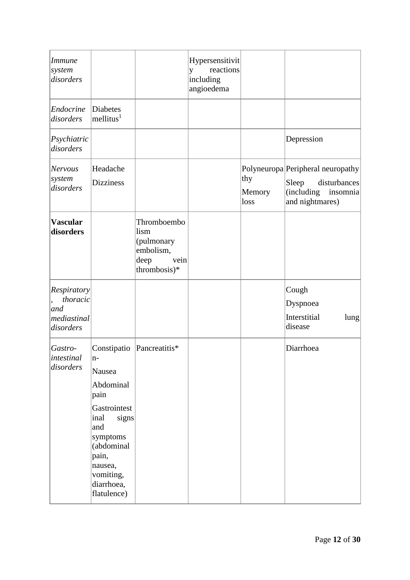| <b>Immune</b><br>system<br>disorders                       |                                                                                                                                                                                    |                                                                                | Hypersensitivit<br>reactions<br>y<br>including<br>angioedema |                       |                                                                                                         |
|------------------------------------------------------------|------------------------------------------------------------------------------------------------------------------------------------------------------------------------------------|--------------------------------------------------------------------------------|--------------------------------------------------------------|-----------------------|---------------------------------------------------------------------------------------------------------|
| Endocrine<br>disorders                                     | Diabetes<br>$m$ ellitus <sup>1</sup>                                                                                                                                               |                                                                                |                                                              |                       |                                                                                                         |
| Psychiatric<br>disorders                                   |                                                                                                                                                                                    |                                                                                |                                                              |                       | Depression                                                                                              |
| <b>Nervous</b><br>system<br>disorders                      | Headache<br><b>Dizziness</b>                                                                                                                                                       |                                                                                |                                                              | thy<br>Memory<br>loss | Polyneuropa Peripheral neuropathy<br>disturbances<br>Sleep<br>(including<br>insomnia<br>and nightmares) |
| <b>Vascular</b><br>disorders                               |                                                                                                                                                                                    | Thromboembo<br>lism<br>(pulmonary<br>embolism,<br>deep<br>vein<br>thrombosis)* |                                                              |                       |                                                                                                         |
| Respiratory<br>thoracic<br>and<br>mediastinal<br>disorders |                                                                                                                                                                                    |                                                                                |                                                              |                       | Cough<br>Dyspnoea<br>Interstitial<br>lung<br>disease                                                    |
| Gastro-<br>intestinal<br>disorders                         | Constipatio<br>$n-$<br>Nausea<br>Abdominal<br>pain<br>Gastrointest<br>signs<br>inal<br>and<br>symptoms<br>(abdominal<br>pain,<br>nausea,<br>vomiting,<br>diarrhoea,<br>flatulence) | Pancreatitis*                                                                  |                                                              |                       | Diarrhoea                                                                                               |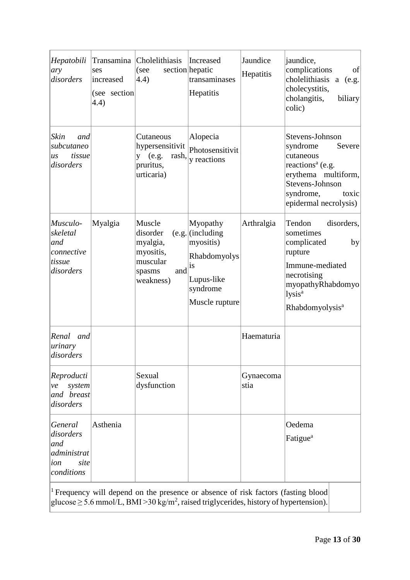| Hepatobili<br>ary<br>disorders                                          | ses<br>increased<br>(see section<br>4.4) | Transamina Cholelithiasis<br>(see<br>(4.4)                                                                                                                                                              | Increased<br>section hepatic<br>transaminases<br>Hepatitis                                                    | Jaundice<br>Hepatitis | jaundice,<br>complications<br>of<br>cholelithiasis a (e.g.<br>cholecystitis,<br>cholangitis,<br>biliary<br>colic)                                                             |
|-------------------------------------------------------------------------|------------------------------------------|---------------------------------------------------------------------------------------------------------------------------------------------------------------------------------------------------------|---------------------------------------------------------------------------------------------------------------|-----------------------|-------------------------------------------------------------------------------------------------------------------------------------------------------------------------------|
| Skin<br>and<br>subcutaneo<br>tissue<br>$\overline{u}$ s<br>disorders    |                                          | Cutaneous<br>hypersensitivit<br>y (e.g.<br>rash,<br>pruritus,<br>urticaria)                                                                                                                             | Alopecia<br>Photosensitivit<br>y reactions                                                                    |                       | Stevens-Johnson<br>syndrome<br>Severe<br>cutaneous<br>reactions <sup>a</sup> (e.g.<br>erythema multiform,<br>Stevens-Johnson<br>syndrome,<br>toxic<br>epidermal necrolysis)   |
| Musculo-<br>skeletal<br>and<br>connective<br>tissue<br>disorders        | Myalgia                                  | Muscle<br>disorder<br>myalgia,<br>myositis,<br>muscular<br>and<br>spasms<br>weakness)                                                                                                                   | Myopathy<br>$(e.g.$ (including<br>myositis)<br>Rhabdomyolys<br>is<br>Lupus-like<br>syndrome<br>Muscle rupture | Arthralgia            | Tendon<br>disorders,<br>sometimes<br>complicated<br>by<br>rupture<br>Immune-mediated<br>necrotising<br>myopathyRhabdomyo<br>lysis <sup>a</sup><br>Rhabdomyolysis <sup>a</sup> |
| Renal<br>and<br>urinary<br>disorders                                    |                                          |                                                                                                                                                                                                         |                                                                                                               | Haematuria            |                                                                                                                                                                               |
| Reproducti<br>system<br>ve<br>and breast<br>disorders                   |                                          | Sexual<br>dysfunction                                                                                                                                                                                   |                                                                                                               | Gynaecoma<br>stia     |                                                                                                                                                                               |
| General<br>disorders<br>and<br>administrat<br>site<br>ion<br>conditions | Asthenia                                 |                                                                                                                                                                                                         |                                                                                                               |                       | Oedema<br>Fatigue <sup>a</sup>                                                                                                                                                |
|                                                                         |                                          | <sup>1</sup> Frequency will depend on the presence or absence of risk factors (fasting blood<br>glucose $\geq$ 5.6 mmol/L, BMI > 30 kg/m <sup>2</sup> , raised triglycerides, history of hypertension). |                                                                                                               |                       |                                                                                                                                                                               |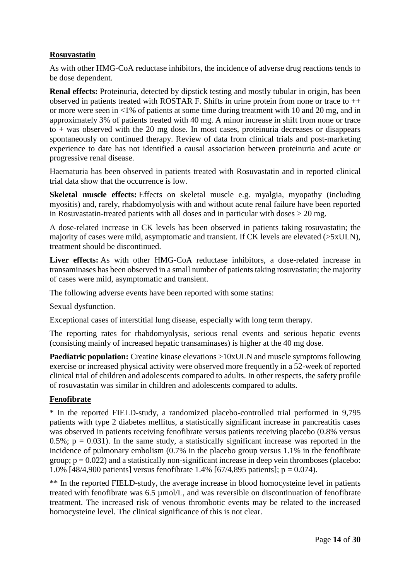# **Rosuvastatin**

As with other HMG-CoA reductase inhibitors, the incidence of adverse drug reactions tends to be dose dependent.

**Renal effects:** Proteinuria, detected by dipstick testing and mostly tubular in origin, has been observed in patients treated with ROSTAR F. Shifts in urine protein from none or trace to ++ or more were seen in <1% of patients at some time during treatment with 10 and 20 mg, and in approximately 3% of patients treated with 40 mg. A minor increase in shift from none or trace to + was observed with the 20 mg dose. In most cases, proteinuria decreases or disappears spontaneously on continued therapy. Review of data from clinical trials and post-marketing experience to date has not identified a causal association between proteinuria and acute or progressive renal disease.

Haematuria has been observed in patients treated with Rosuvastatin and in reported clinical trial data show that the occurrence is low.

**Skeletal muscle effects:** Effects on skeletal muscle e.g. myalgia, myopathy (including myositis) and, rarely, rhabdomyolysis with and without acute renal failure have been reported in Rosuvastatin-treated patients with all doses and in particular with doses > 20 mg.

A dose-related increase in CK levels has been observed in patients taking rosuvastatin; the majority of cases were mild, asymptomatic and transient. If CK levels are elevated (>5xULN), treatment should be discontinued.

**Liver effects:** As with other HMG-CoA reductase inhibitors, a dose-related increase in transaminases has been observed in a small number of patients taking rosuvastatin; the majority of cases were mild, asymptomatic and transient.

The following adverse events have been reported with some statins:

Sexual dysfunction.

Exceptional cases of interstitial lung disease, especially with long term therapy.

The reporting rates for rhabdomyolysis, serious renal events and serious hepatic events (consisting mainly of increased hepatic transaminases) is higher at the 40 mg dose.

**Paediatric population:** Creatine kinase elevations >10xULN and muscle symptoms following exercise or increased physical activity were observed more frequently in a 52-week of reported clinical trial of children and adolescents compared to adults. In other respects, the safety profile of rosuvastatin was similar in children and adolescents compared to adults.

# **Fenofibrate**

\* In the reported FIELD-study, a randomized placebo-controlled trial performed in 9,795 patients with type 2 diabetes mellitus, a statistically significant increase in pancreatitis cases was observed in patients receiving fenofibrate versus patients receiving placebo (0.8% versus  $0.5\%$ ;  $p = 0.031$ ). In the same study, a statistically significant increase was reported in the incidence of pulmonary embolism (0.7% in the placebo group versus 1.1% in the fenofibrate group;  $p = 0.022$ ) and a statistically non-significant increase in deep vein thromboses (placebo: 1.0% [48/4,900 patients] versus fenofibrate 1.4% [67/4,895 patients]; p = 0.074).

\*\* In the reported FIELD-study, the average increase in blood homocysteine level in patients treated with fenofibrate was 6.5 µmol/L, and was reversible on discontinuation of fenofibrate treatment. The increased risk of venous thrombotic events may be related to the increased homocysteine level. The clinical significance of this is not clear.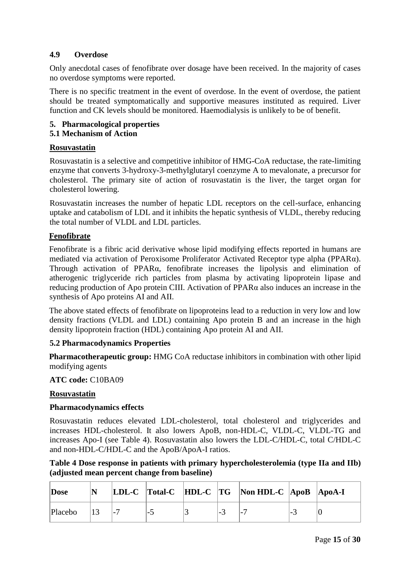# **4.9 Overdose**

Only anecdotal cases of fenofibrate over dosage have been received. In the majority of cases no overdose symptoms were reported.

There is no specific treatment in the event of overdose. In the event of overdose, the patient should be treated symptomatically and supportive measures instituted as required. Liver function and CK levels should be monitored. Haemodialysis is unlikely to be of benefit.

# **5. Pharmacological properties**

# **5.1 Mechanism of Action**

# **Rosuvastatin**

Rosuvastatin is a selective and competitive inhibitor of HMG-CoA reductase, the rate-limiting enzyme that converts 3-hydroxy-3-methylglutaryl coenzyme A to mevalonate, a precursor for cholesterol. The primary site of action of rosuvastatin is the liver, the target organ for cholesterol lowering.

Rosuvastatin increases the number of hepatic LDL receptors on the cell-surface, enhancing uptake and catabolism of LDL and it inhibits the hepatic synthesis of VLDL, thereby reducing the total number of VLDL and LDL particles.

# **Fenofibrate**

Fenofibrate is a fibric acid derivative whose lipid modifying effects reported in humans are mediated via activation of Peroxisome Proliferator Activated Receptor type alpha (PPARα). Through activation of PPARα, fenofibrate increases the lipolysis and elimination of atherogenic triglyceride rich particles from plasma by activating lipoprotein lipase and reducing production of Apo protein CIII. Activation of PPARα also induces an increase in the synthesis of Apo proteins AI and AII.

The above stated effects of fenofibrate on lipoproteins lead to a reduction in very low and low density fractions (VLDL and LDL) containing Apo protein B and an increase in the high density lipoprotein fraction (HDL) containing Apo protein AI and AII.

# **5.2 Pharmacodynamics Properties**

**Pharmacotherapeutic group:** HMG CoA reductase inhibitors in combination with other lipid modifying agents

**ATC code:** C10BA09

# **Rosuvastatin**

# **Pharmacodynamics effects**

Rosuvastatin reduces elevated LDL-cholesterol, total cholesterol and triglycerides and increases HDL-cholesterol. It also lowers ApoB, non-HDL-C, VLDL-C, VLDL-TG and increases Apo-I (see Table 4). Rosuvastatin also lowers the LDL-C/HDL-C, total C/HDL-C and non-HDL-C/HDL-C and the ApoB/ApoA-I ratios.

# **Table 4 Dose response in patients with primary hypercholesterolemia (type IIa and IIb) (adjusted mean percent change from baseline)**

| Dose    |  |  | LDL-C Total-C HDL-C TG Non HDL-C ApoB ApoA-I |  |
|---------|--|--|----------------------------------------------|--|
| Placebo |  |  |                                              |  |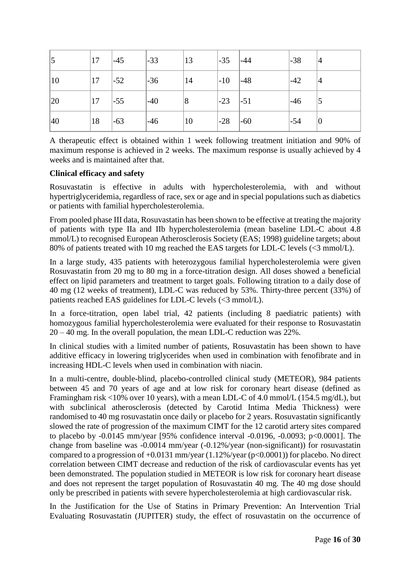| 5  | 17 | $-45$  | $-33$  | 13         | $-35$ | $ -44$ | $-38$ |        |
|----|----|--------|--------|------------|-------|--------|-------|--------|
| 10 | 17 | $ -52$ | $-36$  | 14         | $-10$ | $ -48$ | $-42$ | 14     |
| 20 | 17 | $-55$  | $ -40$ | $\sqrt{8}$ | $-23$ | $-51$  | $-46$ |        |
| 40 | 18 | $-63$  | $-46$  | 10         | $-28$ | $ -60$ | $-54$ | $ 0\>$ |

A therapeutic effect is obtained within 1 week following treatment initiation and 90% of maximum response is achieved in 2 weeks. The maximum response is usually achieved by 4 weeks and is maintained after that.

# **Clinical efficacy and safety**

Rosuvastatin is effective in adults with hypercholesterolemia, with and without hypertriglyceridemia, regardless of race, sex or age and in special populations such as diabetics or patients with familial hypercholesterolemia.

From pooled phase III data, Rosuvastatin has been shown to be effective at treating the majority of patients with type IIa and IIb hypercholesterolemia (mean baseline LDL-C about 4.8 mmol/L) to recognised European Atherosclerosis Society (EAS; 1998) guideline targets; about 80% of patients treated with 10 mg reached the EAS targets for LDL-C levels (<3 mmol/L).

In a large study, 435 patients with heterozygous familial hypercholesterolemia were given Rosuvastatin from 20 mg to 80 mg in a force-titration design. All doses showed a beneficial effect on lipid parameters and treatment to target goals. Following titration to a daily dose of 40 mg (12 weeks of treatment), LDL-C was reduced by 53%. Thirty-three percent (33%) of patients reached EAS guidelines for LDL-C levels (<3 mmol/L).

In a force-titration, open label trial, 42 patients (including 8 paediatric patients) with homozygous familial hypercholesterolemia were evaluated for their response to Rosuvastatin 20 – 40 mg. In the overall population, the mean LDL-C reduction was 22%.

In clinical studies with a limited number of patients, Rosuvastatin has been shown to have additive efficacy in lowering triglycerides when used in combination with fenofibrate and in increasing HDL-C levels when used in combination with niacin.

In a multi-centre, double-blind, placebo-controlled clinical study (METEOR), 984 patients between 45 and 70 years of age and at low risk for coronary heart disease (defined as Framingham risk <10% over 10 years), with a mean LDL-C of 4.0 mmol/L (154.5 mg/dL), but with subclinical atherosclerosis (detected by Carotid Intima Media Thickness) were randomised to 40 mg rosuvastatin once daily or placebo for 2 years. Rosuvastatin significantly slowed the rate of progression of the maximum CIMT for the 12 carotid artery sites compared to placebo by -0.0145 mm/year [95% confidence interval -0.0196, -0.0093; p<0.0001]. The change from baseline was -0.0014 mm/year (-0.12%/year (non-significant)) for rosuvastatin compared to a progression of  $+0.0131$  mm/year (1.12%/year (p<0.0001)) for placebo. No direct correlation between CIMT decrease and reduction of the risk of cardiovascular events has yet been demonstrated. The population studied in METEOR is low risk for coronary heart disease and does not represent the target population of Rosuvastatin 40 mg. The 40 mg dose should only be prescribed in patients with severe hypercholesterolemia at high cardiovascular risk.

In the Justification for the Use of Statins in Primary Prevention: An Intervention Trial Evaluating Rosuvastatin (JUPITER) study, the effect of rosuvastatin on the occurrence of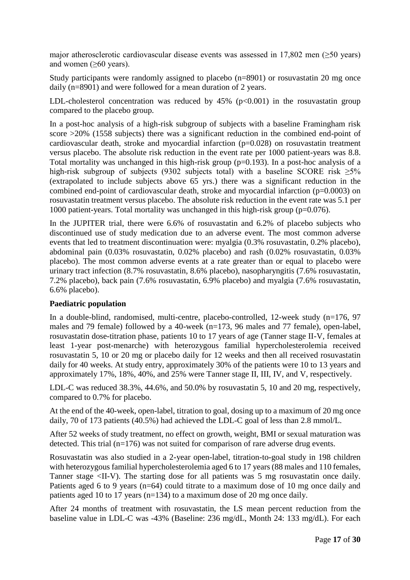major atherosclerotic cardiovascular disease events was assessed in 17,802 men ( $\geq$ 50 years) and women  $(\geq 60 \text{ years})$ .

Study participants were randomly assigned to placebo (n=8901) or rosuvastatin 20 mg once daily (n=8901) and were followed for a mean duration of 2 years.

LDL-cholesterol concentration was reduced by  $45\%$  ( $p<0.001$ ) in the rosuvastatin group compared to the placebo group.

In a post-hoc analysis of a high-risk subgroup of subjects with a baseline Framingham risk score >20% (1558 subjects) there was a significant reduction in the combined end-point of cardiovascular death, stroke and myocardial infarction (p=0.028) on rosuvastatin treatment versus placebo. The absolute risk reduction in the event rate per 1000 patient-years was 8.8. Total mortality was unchanged in this high-risk group ( $p=0.193$ ). In a post-hoc analysis of a high-risk subgroup of subjects (9302 subjects total) with a baseline SCORE risk  $\geq 5\%$ (extrapolated to include subjects above 65 yrs.) there was a significant reduction in the combined end-point of cardiovascular death, stroke and myocardial infarction (p=0.0003) on rosuvastatin treatment versus placebo. The absolute risk reduction in the event rate was 5.1 per 1000 patient-years. Total mortality was unchanged in this high-risk group (p=0.076).

In the JUPITER trial, there were 6.6% of rosuvastatin and 6.2% of placebo subjects who discontinued use of study medication due to an adverse event. The most common adverse events that led to treatment discontinuation were: myalgia (0.3% rosuvastatin, 0.2% placebo), abdominal pain (0.03% rosuvastatin, 0.02% placebo) and rash (0.02% rosuvastatin, 0.03% placebo). The most common adverse events at a rate greater than or equal to placebo were urinary tract infection (8.7% rosuvastatin, 8.6% placebo), nasopharyngitis (7.6% rosuvastatin, 7.2% placebo), back pain (7.6% rosuvastatin, 6.9% placebo) and myalgia (7.6% rosuvastatin, 6.6% placebo).

### **Paediatric population**

In a double-blind, randomised, multi-centre, placebo-controlled, 12-week study (n=176, 97 males and 79 female) followed by a 40-week (n=173, 96 males and 77 female), open-label, rosuvastatin dose-titration phase, patients 10 to 17 years of age (Tanner stage II-V, females at least 1-year post-menarche) with heterozygous familial hypercholesterolemia received rosuvastatin 5, 10 or 20 mg or placebo daily for 12 weeks and then all received rosuvastatin daily for 40 weeks. At study entry, approximately 30% of the patients were 10 to 13 years and approximately 17%, 18%, 40%, and 25% were Tanner stage II, III, IV, and V, respectively.

LDL-C was reduced 38.3%, 44.6%, and 50.0% by rosuvastatin 5, 10 and 20 mg, respectively, compared to 0.7% for placebo.

At the end of the 40-week, open-label, titration to goal, dosing up to a maximum of 20 mg once daily, 70 of 173 patients (40.5%) had achieved the LDL-C goal of less than 2.8 mmol/L.

After 52 weeks of study treatment, no effect on growth, weight, BMI or sexual maturation was detected. This trial (n=176) was not suited for comparison of rare adverse drug events.

Rosuvastatin was also studied in a 2-year open-label, titration-to-goal study in 198 children with heterozygous familial hypercholesterolemia aged 6 to 17 years (88 males and 110 females, Tanner stage <II-V). The starting dose for all patients was 5 mg rosuvastatin once daily. Patients aged 6 to 9 years (n=64) could titrate to a maximum dose of 10 mg once daily and patients aged 10 to 17 years (n=134) to a maximum dose of 20 mg once daily.

After 24 months of treatment with rosuvastatin, the LS mean percent reduction from the baseline value in LDL-C was -43% (Baseline: 236 mg/dL, Month 24: 133 mg/dL). For each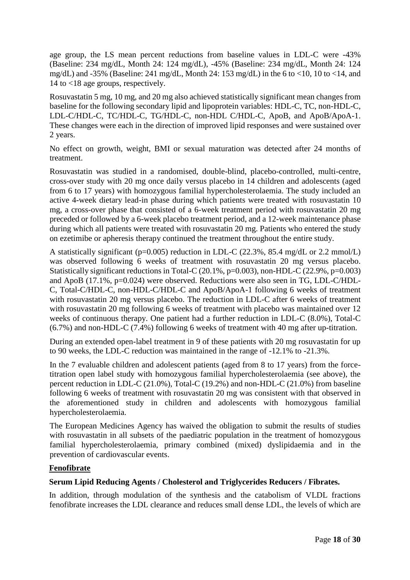age group, the LS mean percent reductions from baseline values in LDL-C were -43% (Baseline: 234 mg/dL, Month 24: 124 mg/dL), -45% (Baseline: 234 mg/dL, Month 24: 124 mg/dL) and -35% (Baseline: 241 mg/dL, Month 24: 153 mg/dL) in the 6 to <10, 10 to <14, and 14 to <18 age groups, respectively.

Rosuvastatin 5 mg, 10 mg, and 20 mg also achieved statistically significant mean changes from baseline for the following secondary lipid and lipoprotein variables: HDL-C, TC, non-HDL-C, LDL-C/HDL-C, TC/HDL-C, TG/HDL-C, non-HDL C/HDL-C, ApoB, and ApoB/ApoA-1. These changes were each in the direction of improved lipid responses and were sustained over 2 years.

No effect on growth, weight, BMI or sexual maturation was detected after 24 months of treatment.

Rosuvastatin was studied in a randomised, double-blind, placebo-controlled, multi-centre, cross-over study with 20 mg once daily versus placebo in 14 children and adolescents (aged from 6 to 17 years) with homozygous familial hypercholesterolaemia. The study included an active 4-week dietary lead-in phase during which patients were treated with rosuvastatin 10 mg, a cross-over phase that consisted of a 6-week treatment period with rosuvastatin 20 mg preceded or followed by a 6-week placebo treatment period, and a 12-week maintenance phase during which all patients were treated with rosuvastatin 20 mg. Patients who entered the study on ezetimibe or apheresis therapy continued the treatment throughout the entire study.

A statistically significant (p=0.005) reduction in LDL-C (22.3%, 85.4 mg/dL or 2.2 mmol/L) was observed following 6 weeks of treatment with rosuvastatin 20 mg versus placebo. Statistically significant reductions in Total-C (20.1%, p=0.003), non-HDL-C (22.9%, p=0.003) and ApoB (17.1%, p=0.024) were observed. Reductions were also seen in TG, LDL-C/HDL-C, Total-C/HDL-C, non-HDL-C/HDL-C and ApoB/ApoA-1 following 6 weeks of treatment with rosuvastatin 20 mg versus placebo. The reduction in LDL-C after 6 weeks of treatment with rosuvastatin 20 mg following 6 weeks of treatment with placebo was maintained over 12 weeks of continuous therapy. One patient had a further reduction in LDL-C (8.0%), Total-C (6.7%) and non-HDL-C (7.4%) following 6 weeks of treatment with 40 mg after up-titration.

During an extended open-label treatment in 9 of these patients with 20 mg rosuvastatin for up to 90 weeks, the LDL-C reduction was maintained in the range of -12.1% to -21.3%.

In the 7 evaluable children and adolescent patients (aged from 8 to 17 years) from the forcetitration open label study with homozygous familial hypercholesterolaemia (see above), the percent reduction in LDL-C (21.0%), Total-C (19.2%) and non-HDL-C (21.0%) from baseline following 6 weeks of treatment with rosuvastatin 20 mg was consistent with that observed in the aforementioned study in children and adolescents with homozygous familial hypercholesterolaemia.

The European Medicines Agency has waived the obligation to submit the results of studies with rosuvastatin in all subsets of the paediatric population in the treatment of homozygous familial hypercholesterolaemia, primary combined (mixed) dyslipidaemia and in the prevention of cardiovascular events.

# **Fenofibrate**

### **Serum Lipid Reducing Agents / Cholesterol and Triglycerides Reducers / Fibrates.**

In addition, through modulation of the synthesis and the catabolism of VLDL fractions fenofibrate increases the LDL clearance and reduces small dense LDL, the levels of which are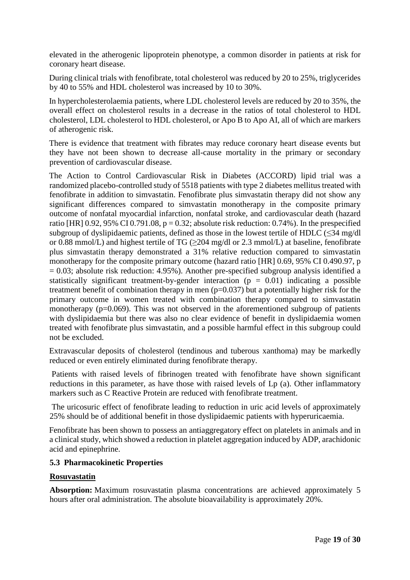elevated in the atherogenic lipoprotein phenotype, a common disorder in patients at risk for coronary heart disease.

During clinical trials with fenofibrate, total cholesterol was reduced by 20 to 25%, triglycerides by 40 to 55% and HDL cholesterol was increased by 10 to 30%.

In hypercholesterolaemia patients, where LDL cholesterol levels are reduced by 20 to 35%, the overall effect on cholesterol results in a decrease in the ratios of total cholesterol to HDL cholesterol, LDL cholesterol to HDL cholesterol, or Apo B to Apo AI, all of which are markers of atherogenic risk.

There is evidence that treatment with fibrates may reduce coronary heart disease events but they have not been shown to decrease all-cause mortality in the primary or secondary prevention of cardiovascular disease.

The Action to Control Cardiovascular Risk in Diabetes (ACCORD) lipid trial was a randomized placebo-controlled study of 5518 patients with type 2 diabetes mellitus treated with fenofibrate in addition to simvastatin. Fenofibrate plus simvastatin therapy did not show any significant differences compared to simvastatin monotherapy in the composite primary outcome of nonfatal myocardial infarction, nonfatal stroke, and cardiovascular death (hazard ratio [HR] 0.92, 95% CI 0.791.08,  $p = 0.32$ ; absolute risk reduction: 0.74%). In the prespecified subgroup of dyslipidaemic patients, defined as those in the lowest tertile of HDLC  $(\leq 34 \text{ mg/d})$ or 0.88 mmol/L) and highest tertile of TG ( $\geq$ 204 mg/dl or 2.3 mmol/L) at baseline, fenofibrate plus simvastatin therapy demonstrated a 31% relative reduction compared to simvastatin monotherapy for the composite primary outcome (hazard ratio [HR] 0.69, 95% CI 0.490.97, p  $= 0.03$ ; absolute risk reduction: 4.95%). Another pre-specified subgroup analysis identified a statistically significant treatment-by-gender interaction  $(p = 0.01)$  indicating a possible treatment benefit of combination therapy in men (p=0.037) but a potentially higher risk for the primary outcome in women treated with combination therapy compared to simvastatin monotherapy (p=0.069). This was not observed in the aforementioned subgroup of patients with dyslipidaemia but there was also no clear evidence of benefit in dyslipidaemia women treated with fenofibrate plus simvastatin, and a possible harmful effect in this subgroup could not be excluded.

Extravascular deposits of cholesterol (tendinous and tuberous xanthoma) may be markedly reduced or even entirely eliminated during fenofibrate therapy.

Patients with raised levels of fibrinogen treated with fenofibrate have shown significant reductions in this parameter, as have those with raised levels of Lp (a). Other inflammatory markers such as C Reactive Protein are reduced with fenofibrate treatment.

The uricosuric effect of fenofibrate leading to reduction in uric acid levels of approximately 25% should be of additional benefit in those dyslipidaemic patients with hyperuricaemia.

Fenofibrate has been shown to possess an antiaggregatory effect on platelets in animals and in a clinical study, which showed a reduction in platelet aggregation induced by ADP, arachidonic acid and epinephrine.

### **5.3 Pharmacokinetic Properties**

### **Rosuvastatin**

**Absorption:** Maximum rosuvastatin plasma concentrations are achieved approximately 5 hours after oral administration. The absolute bioavailability is approximately 20%.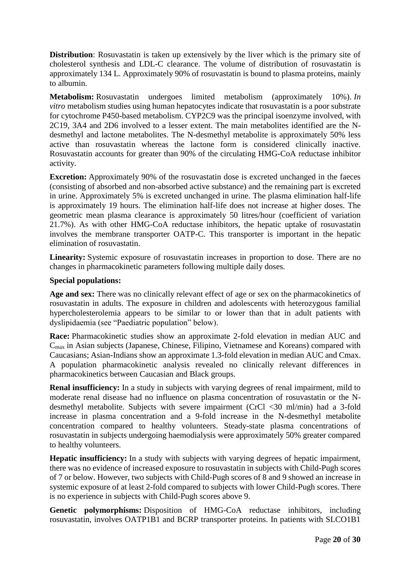**Distribution**: Rosuvastatin is taken up extensively by the liver which is the primary site of cholesterol synthesis and LDL-C clearance. The volume of distribution of rosuvastatin is approximately 134 L. Approximately 90% of rosuvastatin is bound to plasma proteins, mainly to albumin.

**Metabolism:** Rosuvastatin undergoes limited metabolism (approximately 10%). *In vitro* metabolism studies using human hepatocytes indicate that rosuvastatin is a poor substrate for cytochrome P450-based metabolism. CYP2C9 was the principal isoenzyme involved, with 2C19, 3A4 and 2D6 involved to a lesser extent. The main metabolites identified are the Ndesmethyl and lactone metabolites. The N-desmethyl metabolite is approximately 50% less active than rosuvastatin whereas the lactone form is considered clinically inactive. Rosuvastatin accounts for greater than 90% of the circulating HMG-CoA reductase inhibitor activity.

**Excretion:** Approximately 90% of the rosuvastatin dose is excreted unchanged in the faeces (consisting of absorbed and non-absorbed active substance) and the remaining part is excreted in urine. Approximately 5% is excreted unchanged in urine. The plasma elimination half-life is approximately 19 hours. The elimination half-life does not increase at higher doses. The geometric mean plasma clearance is approximately 50 litres/hour (coefficient of variation 21.7%). As with other HMG-CoA reductase inhibitors, the hepatic uptake of rosuvastatin involves the membrane transporter OATP-C. This transporter is important in the hepatic elimination of rosuvastatin.

**Linearity:** Systemic exposure of rosuvastatin increases in proportion to dose. There are no changes in pharmacokinetic parameters following multiple daily doses.

# **Special populations:**

**Age and sex:** There was no clinically relevant effect of age or sex on the pharmacokinetics of rosuvastatin in adults. The exposure in children and adolescents with heterozygous familial hypercholesterolemia appears to be similar to or lower than that in adult patients with dyslipidaemia (see "Paediatric population" below).

**Race:** Pharmacokinetic studies show an approximate 2-fold elevation in median AUC and Cmax in Asian subjects (Japanese, Chinese, Filipino, Vietnamese and Koreans) compared with Caucasians; Asian-Indians show an approximate 1.3-fold elevation in median AUC and Cmax. A population pharmacokinetic analysis revealed no clinically relevant differences in pharmacokinetics between Caucasian and Black groups.

**Renal insufficiency:** In a study in subjects with varying degrees of renal impairment, mild to moderate renal disease had no influence on plasma concentration of rosuvastatin or the Ndesmethyl metabolite. Subjects with severe impairment (CrCl <30 ml/min) had a 3-fold increase in plasma concentration and a 9-fold increase in the N-desmethyl metabolite concentration compared to healthy volunteers. Steady-state plasma concentrations of rosuvastatin in subjects undergoing haemodialysis were approximately 50% greater compared to healthy volunteers.

**Hepatic insufficiency:** In a study with subjects with varying degrees of hepatic impairment, there was no evidence of increased exposure to rosuvastatin in subjects with Child-Pugh scores of 7 or below. However, two subjects with Child-Pugh scores of 8 and 9 showed an increase in systemic exposure of at least 2-fold compared to subjects with lower Child-Pugh scores. There is no experience in subjects with Child-Pugh scores above 9.

**Genetic polymorphisms:** Disposition of HMG-CoA reductase inhibitors, including rosuvastatin, involves OATP1B1 and BCRP transporter proteins. In patients with SLCO1B1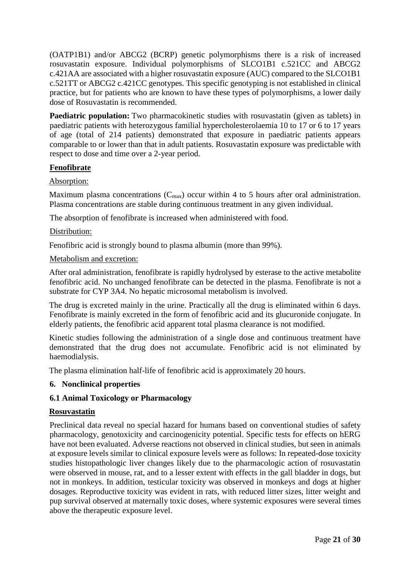(OATP1B1) and/or ABCG2 (BCRP) genetic polymorphisms there is a risk of increased rosuvastatin exposure. Individual polymorphisms of SLCO1B1 c.521CC and ABCG2 c.421AA are associated with a higher rosuvastatin exposure (AUC) compared to the SLCO1B1 c.521TT or ABCG2 c.421CC genotypes. This specific genotyping is not established in clinical practice, but for patients who are known to have these types of polymorphisms, a lower daily dose of Rosuvastatin is recommended.

**Paediatric population:** Two pharmacokinetic studies with rosuvastatin (given as tablets) in paediatric patients with heterozygous familial hypercholesterolaemia 10 to 17 or 6 to 17 years of age (total of 214 patients) demonstrated that exposure in paediatric patients appears comparable to or lower than that in adult patients. Rosuvastatin exposure was predictable with respect to dose and time over a 2-year period.

# **Fenofibrate**

# Absorption:

Maximum plasma concentrations  $(C_{\text{max}})$  occur within 4 to 5 hours after oral administration. Plasma concentrations are stable during continuous treatment in any given individual.

The absorption of fenofibrate is increased when administered with food.

# Distribution:

Fenofibric acid is strongly bound to plasma albumin (more than 99%).

# Metabolism and excretion:

After oral administration, fenofibrate is rapidly hydrolysed by esterase to the active metabolite fenofibric acid. No unchanged fenofibrate can be detected in the plasma. Fenofibrate is not a substrate for CYP 3A4. No hepatic microsomal metabolism is involved.

The drug is excreted mainly in the urine. Practically all the drug is eliminated within 6 days. Fenofibrate is mainly excreted in the form of fenofibric acid and its glucuronide conjugate. In elderly patients, the fenofibric acid apparent total plasma clearance is not modified.

Kinetic studies following the administration of a single dose and continuous treatment have demonstrated that the drug does not accumulate. Fenofibric acid is not eliminated by haemodialysis.

The plasma elimination half-life of fenofibric acid is approximately 20 hours.

# **6. Nonclinical properties**

# **6.1 Animal Toxicology or Pharmacology**

### **Rosuvastatin**

Preclinical data reveal no special hazard for humans based on conventional studies of safety pharmacology, genotoxicity and carcinogenicity potential. Specific tests for effects on hERG have not been evaluated. Adverse reactions not observed in clinical studies, but seen in animals at exposure levels similar to clinical exposure levels were as follows: In repeated-dose toxicity studies histopathologic liver changes likely due to the pharmacologic action of rosuvastatin were observed in mouse, rat, and to a lesser extent with effects in the gall bladder in dogs, but not in monkeys. In addition, testicular toxicity was observed in monkeys and dogs at higher dosages. Reproductive toxicity was evident in rats, with reduced litter sizes, litter weight and pup survival observed at maternally toxic doses, where systemic exposures were several times above the therapeutic exposure level.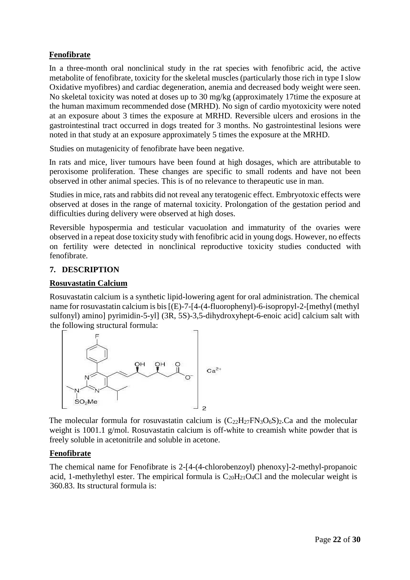# **Fenofibrate**

In a three-month oral nonclinical study in the rat species with fenofibric acid, the active metabolite of fenofibrate, toxicity for the skeletal muscles (particularly those rich in type I slow Oxidative myofibres) and cardiac degeneration, anemia and decreased body weight were seen. No skeletal toxicity was noted at doses up to 30 mg/kg (approximately 17time the exposure at the human maximum recommended dose (MRHD). No sign of cardio myotoxicity were noted at an exposure about 3 times the exposure at MRHD. Reversible ulcers and erosions in the gastrointestinal tract occurred in dogs treated for 3 months. No gastrointestinal lesions were noted in that study at an exposure approximately 5 times the exposure at the MRHD.

Studies on mutagenicity of fenofibrate have been negative.

In rats and mice, liver tumours have been found at high dosages, which are attributable to peroxisome proliferation. These changes are specific to small rodents and have not been observed in other animal species. This is of no relevance to therapeutic use in man.

Studies in mice, rats and rabbits did not reveal any teratogenic effect. Embryotoxic effects were observed at doses in the range of maternal toxicity. Prolongation of the gestation period and difficulties during delivery were observed at high doses.

Reversible hypospermia and testicular vacuolation and immaturity of the ovaries were observed in a repeat dose toxicity study with fenofibric acid in young dogs. However, no effects on fertility were detected in nonclinical reproductive toxicity studies conducted with fenofibrate.

# **7. DESCRIPTION**

# **Rosuvastatin Calcium**

Rosuvastatin calcium is a synthetic lipid-lowering agent for oral administration. The chemical name for rosuvastatin calcium is bis [(E)-7-[4-(4-fluorophenyl)-6-isopropyl-2-[methyl (methyl sulfonyl) amino] pyrimidin-5-yl] (3R, 5S)-3,5-dihydroxyhept-6-enoic acid] calcium salt with the following structural formula:



The molecular formula for rosuvastatin calcium is  $(C_{22}H_{27}FN_3O_6S)_2$ . Ca and the molecular weight is 1001.1 g/mol. Rosuvastatin calcium is off-white to creamish white powder that is freely soluble in acetonitrile and soluble in acetone.

### **Fenofibrate**

The chemical name for Fenofibrate is 2-[4-(4-chlorobenzoyl) phenoxy]-2-methyl-propanoic acid, 1-methylethyl ester. The empirical formula is  $C_{20}H_{21}O_4Cl$  and the molecular weight is 360.83. Its structural formula is: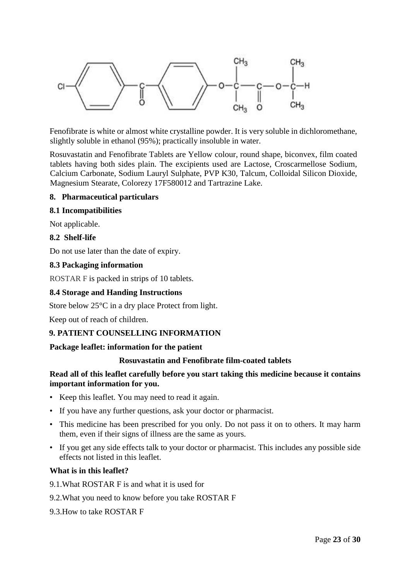

Fenofibrate is white or almost white crystalline powder. It is very soluble in dichloromethane, slightly soluble in ethanol (95%); practically insoluble in water.

Rosuvastatin and Fenofibrate Tablets are Yellow colour, round shape, biconvex, film coated tablets having both sides plain. The excipients used are Lactose, Croscarmellose Sodium, Calcium Carbonate, Sodium Lauryl Sulphate, PVP K30, Talcum, Colloidal Silicon Dioxide, Magnesium Stearate, Colorezy 17F580012 and Tartrazine Lake.

### **8. Pharmaceutical particulars**

### **8.1 Incompatibilities**

Not applicable.

### **8.2 Shelf-life**

Do not use later than the date of expiry.

### **8.3 Packaging information**

ROSTAR F is packed in strips of 10 tablets.

### **8.4 Storage and Handing Instructions**

Store below 25°C in a dry place Protect from light.

Keep out of reach of children.

### **9. PATIENT COUNSELLING INFORMATION**

### **Package leaflet: information for the patient**

### **Rosuvastatin and Fenofibrate film-coated tablets**

### **Read all of this leaflet carefully before you start taking this medicine because it contains important information for you.**

- Keep this leaflet. You may need to read it again.
- If you have any further questions, ask your doctor or pharmacist.
- This medicine has been prescribed for you only. Do not pass it on to others. It may harm them, even if their signs of illness are the same as yours.
- If you get any side effects talk to your doctor or pharmacist. This includes any possible side effects not listed in this leaflet.

### **What is in this leaflet?**

9.1.What ROSTAR F is and what it is used for

### 9.2.What you need to know before you take ROSTAR F

9.3.How to take ROSTAR F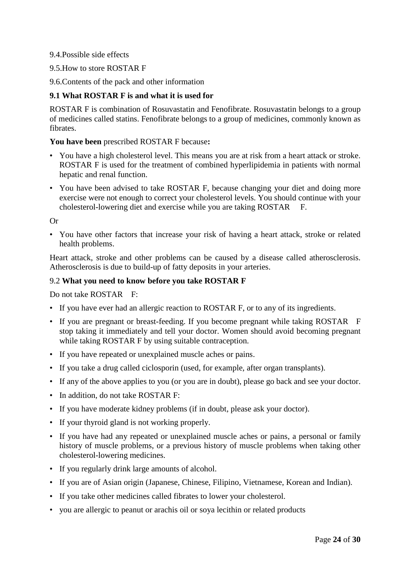# 9.4.Possible side effects

- 9.5.How to store ROSTAR F
- 9.6.Contents of the pack and other information

# **9.1 What ROSTAR F is and what it is used for**

ROSTAR F is combination of Rosuvastatin and Fenofibrate. Rosuvastatin belongs to a group of medicines called statins. Fenofibrate belongs to a group of medicines, commonly known as fibrates.

### **You have been** prescribed ROSTAR F because**:**

- You have a high cholesterol level. This means you are at risk from a heart attack or stroke. ROSTAR F is used for the treatment of combined hyperlipidemia in patients with normal hepatic and renal function.
- You have been advised to take ROSTAR F, because changing your diet and doing more exercise were not enough to correct your cholesterol levels. You should continue with your cholesterol-lowering diet and exercise while you are taking ROSTAR F.

Or

• You have other factors that increase your risk of having a heart attack, stroke or related health problems.

Heart attack, stroke and other problems can be caused by a disease called atherosclerosis. Atherosclerosis is due to build-up of fatty deposits in your arteries.

### 9.2 **What you need to know before you take ROSTAR F**

Do not take ROSTAR F:

- If you have ever had an allergic reaction to ROSTAR F, or to any of its ingredients.
- If you are pregnant or breast-feeding. If you become pregnant while taking ROSTAR F stop taking it immediately and tell your doctor. Women should avoid becoming pregnant while taking ROSTAR F by using suitable contraception.
- If you have repeated or unexplained muscle aches or pains.
- If you take a drug called ciclosporin (used, for example, after organ transplants).
- If any of the above applies to you (or you are in doubt), please go back and see your doctor.
- In addition, do not take ROSTAR F:
- If you have moderate kidney problems (if in doubt, please ask your doctor).
- If your thyroid gland is not working properly.
- If you have had any repeated or unexplained muscle aches or pains, a personal or family history of muscle problems, or a previous history of muscle problems when taking other cholesterol-lowering medicines.
- If you regularly drink large amounts of alcohol.
- If you are of Asian origin (Japanese, Chinese, Filipino, Vietnamese, Korean and Indian).
- If you take other medicines called fibrates to lower your cholesterol.
- you are allergic to peanut or arachis oil or soya lecithin or related products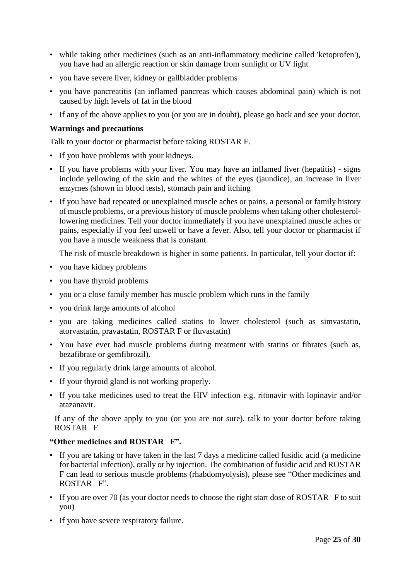- while taking other medicines (such as an anti-inflammatory medicine called 'ketoprofen'), you have had an allergic reaction or skin damage from sunlight or UV light
- you have severe liver, kidney or gallbladder problems
- you have pancreatitis (an inflamed pancreas which causes abdominal pain) which is not caused by high levels of fat in the blood
- If any of the above applies to you (or you are in doubt), please go back and see your doctor.

# **Warnings and precautions**

Talk to your doctor or pharmacist before taking ROSTAR F.

- If you have problems with your kidneys.
- If you have problems with your liver. You may have an inflamed liver (hepatitis) signs include yellowing of the skin and the whites of the eyes (jaundice), an increase in liver enzymes (shown in blood tests), stomach pain and itching
- If you have had repeated or unexplained muscle aches or pains, a personal or family history of muscle problems, or a previous history of muscle problems when taking other cholesterollowering medicines. Tell your doctor immediately if you have unexplained muscle aches or pains, especially if you feel unwell or have a fever. Also, tell your doctor or pharmacist if you have a muscle weakness that is constant.

The risk of muscle breakdown is higher in some patients. In particular, tell your doctor if:

- you have kidney problems
- you have thyroid problems
- you or a close family member has muscle problem which runs in the family
- you drink large amounts of alcohol
- you are taking medicines called statins to lower cholesterol (such as simvastatin, atorvastatin, pravastatin, ROSTAR F or fluvastatin)
- You have ever had muscle problems during treatment with statins or fibrates (such as, bezafibrate or gemfibrozil).
- If you regularly drink large amounts of alcohol.
- If your thyroid gland is not working properly.
- If you take medicines used to treat the HIV infection e.g. ritonavir with lopinavir and/or atazanavir.

If any of the above apply to you (or you are not sure), talk to your doctor before taking ROSTAR F

# **"Other medicines and ROSTAR F".**

- If you are taking or have taken in the last 7 days a medicine called fusidic acid (a medicine for bacterial infection), orally or by injection. The combination of fusidic acid and ROSTAR F can lead to serious muscle problems (rhabdomyolysis), please see "Other medicines and ROSTAR F".
- If you are over 70 (as your doctor needs to choose the right start dose of ROSTAR F to suit you)
- If you have severe respiratory failure.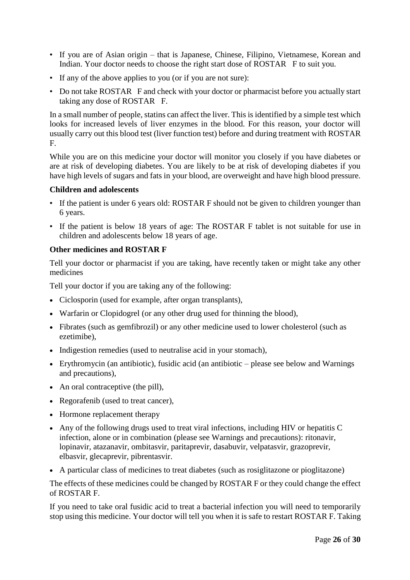- If you are of Asian origin that is Japanese, Chinese, Filipino, Vietnamese, Korean and Indian. Your doctor needs to choose the right start dose of ROSTAR F to suit you.
- If any of the above applies to you (or if you are not sure):
- Do not take ROSTAR F and check with your doctor or pharmacist before you actually start taking any dose of ROSTAR F.

In a small number of people, statins can affect the liver. This is identified by a simple test which looks for increased levels of liver enzymes in the blood. For this reason, your doctor will usually carry out this blood test (liver function test) before and during treatment with ROSTAR F.

While you are on this medicine your doctor will monitor you closely if you have diabetes or are at risk of developing diabetes. You are likely to be at risk of developing diabetes if you have high levels of sugars and fats in your blood, are overweight and have high blood pressure.

### **Children and adolescents**

- If the patient is under 6 years old: ROSTAR F should not be given to children younger than 6 years.
- If the patient is below 18 years of age: The ROSTAR F tablet is not suitable for use in children and adolescents below 18 years of age.

# **Other medicines and ROSTAR F**

Tell your doctor or pharmacist if you are taking, have recently taken or might take any other medicines

Tell your doctor if you are taking any of the following:

- Ciclosporin (used for example, after organ transplants),
- Warfarin or Clopidogrel (or any other drug used for thinning the blood),
- Fibrates (such as gemfibrozil) or any other medicine used to lower cholesterol (such as ezetimibe),
- Indigestion remedies (used to neutralise acid in your stomach),
- Erythromycin (an antibiotic), fusidic acid (an antibiotic please see below and Warnings and precautions),
- An oral contraceptive (the pill),
- Regorafenib (used to treat cancer),
- Hormone replacement therapy
- Any of the following drugs used to treat viral infections, including HIV or hepatitis C infection, alone or in combination (please see Warnings and precautions): ritonavir, lopinavir, atazanavir, ombitasvir, paritaprevir, dasabuvir, velpatasvir, grazoprevir, elbasvir, glecaprevir, pibrentasvir.
- A particular class of medicines to treat diabetes (such as rosiglitazone or pioglitazone)

The effects of these medicines could be changed by ROSTAR F or they could change the effect of ROSTAR F.

If you need to take oral fusidic acid to treat a bacterial infection you will need to temporarily stop using this medicine. Your doctor will tell you when it is safe to restart ROSTAR F. Taking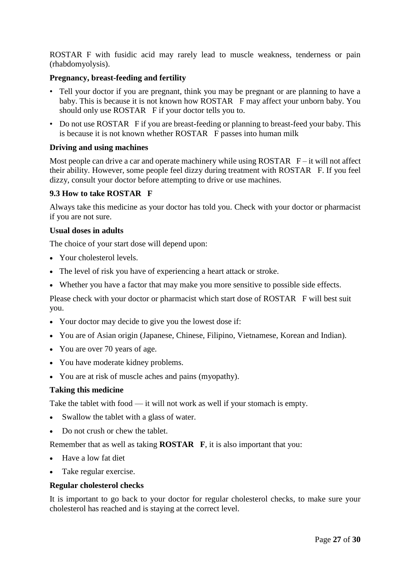ROSTAR F with fusidic acid may rarely lead to muscle weakness, tenderness or pain (rhabdomyolysis).

# **Pregnancy, breast-feeding and fertility**

- Tell your doctor if you are pregnant, think you may be pregnant or are planning to have a baby. This is because it is not known how ROSTAR F may affect your unborn baby. You should only use ROSTAR F if your doctor tells you to.
- Do not use ROSTAR F if you are breast-feeding or planning to breast-feed your baby. This is because it is not known whether ROSTAR F passes into human milk

### **Driving and using machines**

Most people can drive a car and operate machinery while using  $ROSTAR$   $F - it$  will not affect their ability. However, some people feel dizzy during treatment with ROSTAR F. If you feel dizzy, consult your doctor before attempting to drive or use machines.

# **9.3 How to take ROSTAR F**

Always take this medicine as your doctor has told you. Check with your doctor or pharmacist if you are not sure.

### **Usual doses in adults**

The choice of your start dose will depend upon:

- Your cholesterol levels.
- The level of risk you have of experiencing a heart attack or stroke.
- Whether you have a factor that may make you more sensitive to possible side effects.

Please check with your doctor or pharmacist which start dose of ROSTAR F will best suit you.

- Your doctor may decide to give you the lowest dose if:
- You are of Asian origin (Japanese, Chinese, Filipino, Vietnamese, Korean and Indian).
- You are over 70 years of age.
- You have moderate kidney problems.
- You are at risk of muscle aches and pains (myopathy).

### **Taking this medicine**

Take the tablet with food — it will not work as well if your stomach is empty.

- Swallow the tablet with a glass of water.
- Do not crush or chew the tablet.

Remember that as well as taking **ROSTAR F**, it is also important that you:

- Have a low fat diet
- Take regular exercise.

### **Regular cholesterol checks**

It is important to go back to your doctor for regular cholesterol checks, to make sure your cholesterol has reached and is staying at the correct level.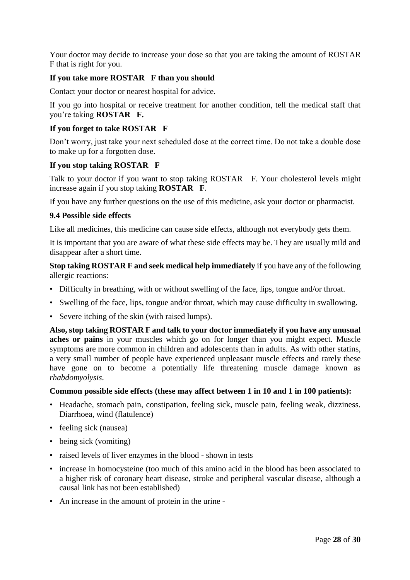Your doctor may decide to increase your dose so that you are taking the amount of ROSTAR F that is right for you.

# **If you take more ROSTAR F than you should**

Contact your doctor or nearest hospital for advice.

If you go into hospital or receive treatment for another condition, tell the medical staff that you're taking **ROSTAR F.** 

# **If you forget to take ROSTAR F**

Don't worry, just take your next scheduled dose at the correct time. Do not take a double dose to make up for a forgotten dose.

### **If you stop taking ROSTAR F**

Talk to your doctor if you want to stop taking ROSTAR F. Your cholesterol levels might increase again if you stop taking **ROSTAR F**.

If you have any further questions on the use of this medicine, ask your doctor or pharmacist.

### **9.4 Possible side effects**

Like all medicines, this medicine can cause side effects, although not everybody gets them.

It is important that you are aware of what these side effects may be. They are usually mild and disappear after a short time.

**Stop taking ROSTAR F and seek medical help immediately** if you have any of the following allergic reactions:

- Difficulty in breathing, with or without swelling of the face, lips, tongue and/or throat.
- Swelling of the face, lips, tongue and/or throat, which may cause difficulty in swallowing.
- Severe itching of the skin (with raised lumps).

**Also, stop taking ROSTAR F and talk to your doctor immediately if you have any unusual aches or pains** in your muscles which go on for longer than you might expect. Muscle symptoms are more common in children and adolescents than in adults. As with other statins, a very small number of people have experienced unpleasant muscle effects and rarely these have gone on to become a potentially life threatening muscle damage known as *rhabdomyolysis*.

### **Common possible side effects (these may affect between 1 in 10 and 1 in 100 patients):**

- Headache, stomach pain, constipation, feeling sick, muscle pain, feeling weak, dizziness. Diarrhoea, wind (flatulence)
- feeling sick (nausea)
- being sick (vomiting)
- raised levels of liver enzymes in the blood shown in tests
- increase in homocysteine (too much of this amino acid in the blood has been associated to a higher risk of coronary heart disease, stroke and peripheral vascular disease, although a causal link has not been established)
- An increase in the amount of protein in the urine -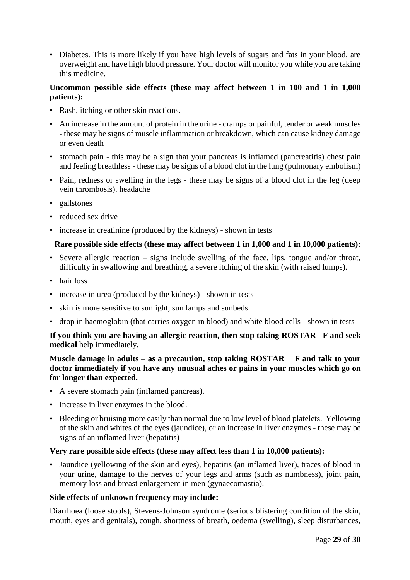• Diabetes. This is more likely if you have high levels of sugars and fats in your blood, are overweight and have high blood pressure. Your doctor will monitor you while you are taking this medicine.

# **Uncommon possible side effects (these may affect between 1 in 100 and 1 in 1,000 patients):**

- Rash, itching or other skin reactions.
- An increase in the amount of protein in the urine cramps or painful, tender or weak muscles - these may be signs of muscle inflammation or breakdown, which can cause kidney damage or even death
- stomach pain this may be a sign that your pancreas is inflamed (pancreatitis) chest pain and feeling breathless - these may be signs of a blood clot in the lung (pulmonary embolism)
- Pain, redness or swelling in the legs these may be signs of a blood clot in the leg (deep vein thrombosis). headache
- gallstones
- reduced sex drive
- increase in creatinine (produced by the kidneys) shown in tests

# **Rare possible side effects (these may affect between 1 in 1,000 and 1 in 10,000 patients):**

- Severe allergic reaction signs include swelling of the face, lips, tongue and/or throat, difficulty in swallowing and breathing, a severe itching of the skin (with raised lumps).
- hair loss
- increase in urea (produced by the kidneys) shown in tests
- skin is more sensitive to sunlight, sun lamps and sunbeds
- drop in haemoglobin (that carries oxygen in blood) and white blood cells shown in tests

**If you think you are having an allergic reaction, then stop taking ROSTAR F and seek medical** help immediately.

### **Muscle damage in adults – as a precaution, stop taking ROSTAR F and talk to your doctor immediately if you have any unusual aches or pains in your muscles which go on for longer than expected.**

- A severe stomach pain (inflamed pancreas).
- Increase in liver enzymes in the blood.
- Bleeding or bruising more easily than normal due to low level of blood platelets. Yellowing of the skin and whites of the eyes (jaundice), or an increase in liver enzymes - these may be signs of an inflamed liver (hepatitis)

### **Very rare possible side effects (these may affect less than 1 in 10,000 patients):**

• Jaundice (yellowing of the skin and eyes), hepatitis (an inflamed liver), traces of blood in your urine, damage to the nerves of your legs and arms (such as numbness), joint pain, memory loss and breast enlargement in men (gynaecomastia).

### **Side effects of unknown frequency may include:**

Diarrhoea (loose stools), Stevens-Johnson syndrome (serious blistering condition of the skin, mouth, eyes and genitals), cough, shortness of breath, oedema (swelling), sleep disturbances,